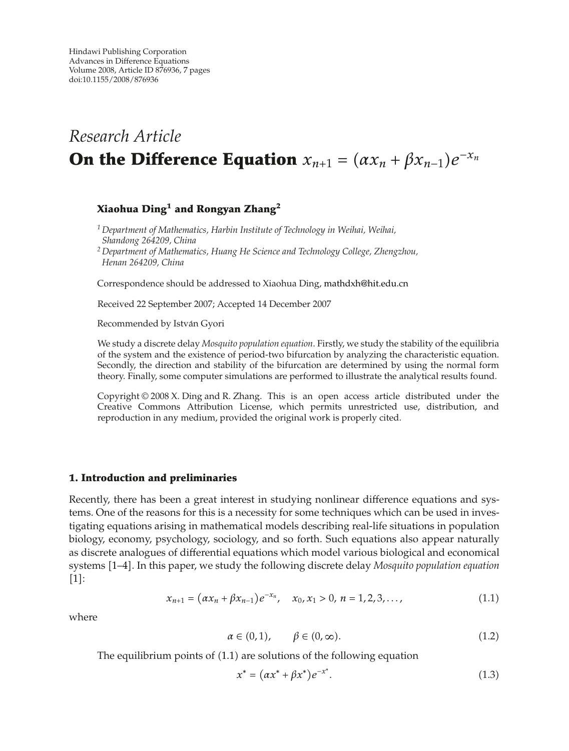# *Research Article* **On the Difference Equation**  $x_{n+1} = (ax_n + \beta x_{n-1})e^{-x_n}$

## **Xiaohua Ding<sup>1</sup> and Rongyan Zhang<sup>2</sup>**

*<sup>1</sup> Department of Mathematics, Harbin Institute of Technology in Weihai, Weihai, Shandong 264209, China*

*<sup>2</sup> Department of Mathematics, Huang He Science and Technology College, Zhengzhou, Henan 264209, China*

Correspondence should be addressed to Xiaohua Ding, mathdxh@hit.edu.cn

Received 22 September 2007; Accepted 14 December 2007

Recommended by István Gyori

We study a discrete delay *Mosquito population equation*. Firstly, we study the stability of the equilibria of the system and the existence of period-two bifurcation by analyzing the characteristic equation. Secondly, the direction and stability of the bifurcation are determined by using the normal form theory. Finally, some computer simulations are performed to illustrate the analytical results found.

Copyright © 2008 X. Ding and R. Zhang. This is an open access article distributed under the Creative Commons Attribution License, which permits unrestricted use, distribution, and reproduction in any medium, provided the original work is properly cited.

#### **1. Introduction and preliminaries**

Recently, there has been a great interest in studying nonlinear difference equations and systems. One of the reasons for this is a necessity for some techniques which can be used in investigating equations arising in mathematical models describing real-life situations in population biology, economy, psychology, sociology, and so forth. Such equations also appear naturally as discrete analogues of differential equations which model various biological and economical systems 1–4. In this paper, we study the following discrete delay *Mosquito population equation*  $[1]$ :

$$
x_{n+1} = (\alpha x_n + \beta x_{n-1})e^{-x_n}, \quad x_0, x_1 > 0, n = 1, 2, 3, \dots,
$$
 (1.1)

where

$$
\alpha \in (0, 1), \qquad \beta \in (0, \infty). \tag{1.2}
$$

The equilibrium points of  $(1.1)$  are solutions of the following equation

$$
x^* = (\alpha x^* + \beta x^*)e^{-x^*}.
$$
 (1.3)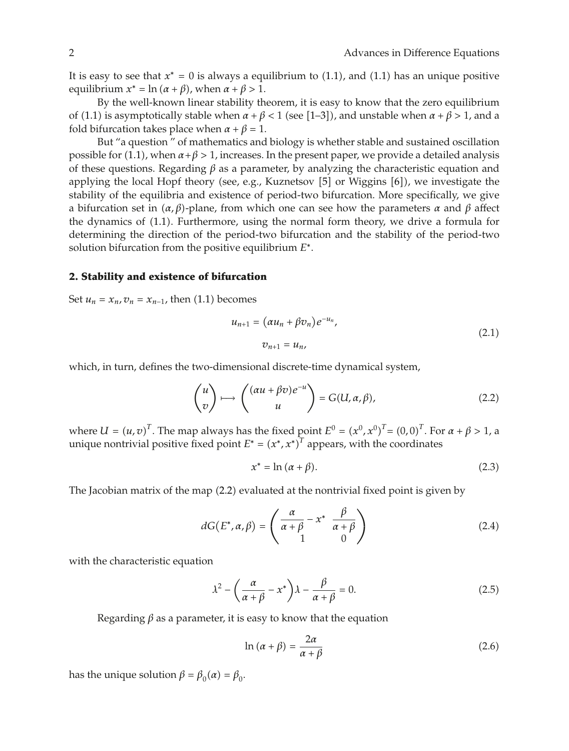It is easy to see that  $x^* = 0$  is always a equilibrium to  $(1.1)$ , and  $(1.1)$  has an unique positive equilibrium  $x^* = \ln(\alpha + \beta)$ , when  $\alpha + \beta > 1$ .

By the well-known linear stability theorem, it is easy to know that the zero equilibrium of (1.1) is asymptotically stable when  $\alpha + \beta < 1$  (see [1–3]), and unstable when  $\alpha + \beta > 1$ , and a fold bifurcation takes place when  $\alpha + \beta = 1$ .

But "a question " of mathematics and biology is whether stable and sustained oscillation possible for (1.1), when  $\alpha + \beta > 1$ , increases. In the present paper, we provide a detailed analysis of these questions. Regarding *β* as a parameter, by analyzing the characteristic equation and applying the local Hopf theory (see, e.g., Kuznetsov  $[5]$  or Wiggins  $[6]$ ), we investigate the stability of the equilibria and existence of period-two bifurcation. More specifically, we give a bifurcation set in *α, β*-plane, from which one can see how the parameters *α* and *β* affect the dynamics of (1.1). Furthermore, using the normal form theory, we drive a formula for determining the direction of the period-two bifurcation and the stability of the period-two solution bifurcation from the positive equilibrium *E*∗.

### **2. Stability and existence of bifurcation**

Set  $u_n = x_n$ ,  $v_n = x_{n-1}$ , then (1.1) becomes

$$
u_{n+1} = (\alpha u_n + \beta v_n) e^{-u_n},
$$
  
\n
$$
v_{n+1} = u_n,
$$
\n(2.1)

which, in turn, defines the two-dimensional discrete-time dynamical system,

$$
\begin{pmatrix} u \\ v \end{pmatrix} \longmapsto \begin{pmatrix} (\alpha u + \beta v)e^{-u} \\ u \end{pmatrix} = G(U, \alpha, \beta), \tag{2.2}
$$

where  $U = (u, v)^T$ . The map always has the fixed point  $E^0 = (x^0, x^0)^T = (0, 0)^T$ . For  $\alpha + \beta > 1$ , a unique nontrivial positive fixed point  $E^* = (x^*, x^*)^T$  appears, with the coordinates

$$
x^* = \ln(\alpha + \beta). \tag{2.3}
$$

The Jacobian matrix of the map  $(2.2)$  evaluated at the nontrivial fixed point is given by

$$
dG(E^*, \alpha, \beta) = \begin{pmatrix} \frac{\alpha}{\alpha + \beta} - x^* & \frac{\beta}{\alpha + \beta} \\ 1 & 0 \end{pmatrix}
$$
 (2.4)

with the characteristic equation

$$
\lambda^2 - \left(\frac{\alpha}{\alpha + \beta} - x^*\right)\lambda - \frac{\beta}{\alpha + \beta} = 0.
$$
 (2.5)

Regarding  $\beta$  as a parameter, it is easy to know that the equation

$$
\ln(\alpha + \beta) = \frac{2\alpha}{\alpha + \beta} \tag{2.6}
$$

has the unique solution  $β = β_0(α) = β_0$ .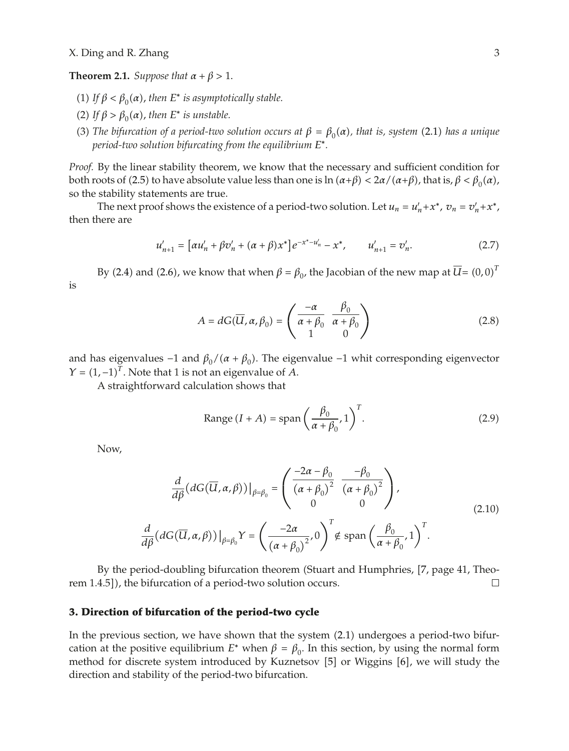#### **Theorem 2.1.** *Suppose that*  $\alpha + \beta > 1$ *.*

- (1) If  $\beta < \beta_0(\alpha)$ , then E<sup>\*</sup> is asymptotically stable.
- (2) If  $\beta > \beta_0(\alpha)$ , then  $E^*$  *is unstable.*
- **(3)** *The bifurcation of a period-two solution occurs at*  $β = β<sub>0</sub>(α)$ *, that is, system* (2.1) *has a unique period-two solution bifurcating from the equilibrium E*∗*.*

*Proof.* By the linear stability theorem, we know that the necessary and sufficient condition for both roots of (2.5) to have absolute value less than one is ln  $(α+β) < 2α/(α+β)$ , that is,  $β < β<sub>0</sub>(α)$ , so the stability statements are true.

The next proof shows the existence of a period-two solution. Let  $u_n = u'_n + x^*$ ,  $v_n = v'_n + x^*$ , then there are

$$
u'_{n+1} = [\alpha u'_n + \beta v'_n + (\alpha + \beta) x^*] e^{-x^* - u'_n} - x^*, \qquad u'_{n+1} = v'_n. \tag{2.7}
$$

By (2.4) and (2.6), we know that when  $\beta = \beta_0$ , the Jacobian of the new map at  $\overline{U} = (0,0)^T$ is

$$
A = dG(\overline{U}, \alpha, \beta_0) = \begin{pmatrix} -\alpha & \beta_0 \\ \overline{\alpha + \beta_0} & \overline{\alpha + \beta_0} \\ 1 & 0 \end{pmatrix}
$$
 (2.8)

and has eigenvalues  $-1$  and  $\beta_0/(\alpha + \beta_0)$ . The eigenvalue  $-1$  whit corresponding eigenvector  $Y = (1, -1)^T$ . Note that 1 is not an eigenvalue of *A*.

A straightforward calculation shows that

Range 
$$
(I + A) = \text{span}\left(\frac{\beta_0}{\alpha + \beta_0}, 1\right)^T
$$
. (2.9)

Now,

$$
\frac{d}{d\beta}(dG(\overline{U}, \alpha, \beta))|_{\beta=\beta_0} = \left(\frac{-2\alpha - \beta_0}{(\alpha + \beta_0)^2} \frac{-\beta_0}{(\alpha + \beta_0)^2}\right),
$$
\n
$$
\frac{d}{d\beta}(dG(\overline{U}, \alpha, \beta))|_{\beta=\beta_0} Y = \left(\frac{-2\alpha}{(\alpha + \beta_0)^2}, 0\right)^T \notin \text{span}\left(\frac{\beta_0}{\alpha + \beta_0}, 1\right)^T.
$$
\n(2.10)

By the period-doubling bifurcation theorem (Stuart and Humphries, [7, page 41, Theorem 1.4.5]), the bifurcation of a period-two solution occurs.  $\Box$ 

#### **3. Direction of bifurcation of the period-two cycle**

In the previous section, we have shown that the system (2.1) undergoes a period-two bifurcation at the positive equilibrium  $E^*$  when  $\beta = \beta_0$ . In this section, by using the normal form method for discrete system introduced by Kuznetsov [5] or Wiggins [6], we will study the direction and stability of the period-two bifurcation.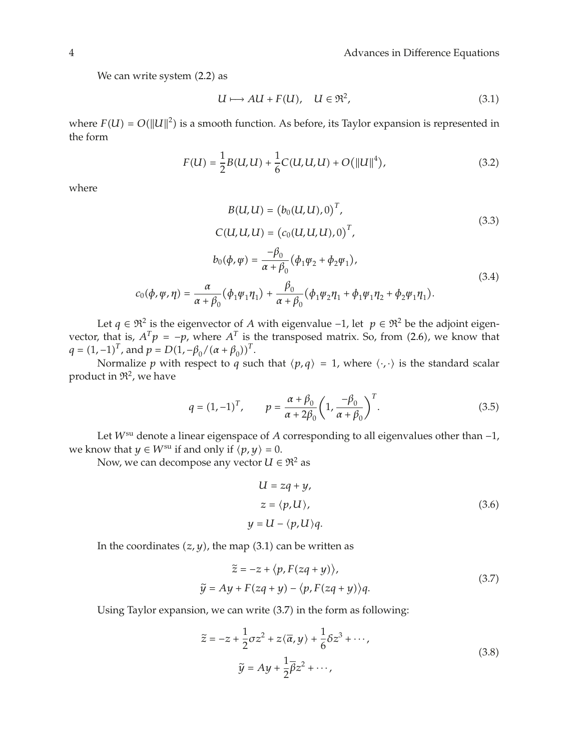We can write system  $(2.2)$  as

$$
U \longmapsto AU + F(U), \quad U \in \mathfrak{R}^2,\tag{3.1}
$$

where  $F(U) = O(||U||^2)$  is a smooth function. As before, its Taylor expansion is represented in the form

$$
F(U) = \frac{1}{2}B(U, U) + \frac{1}{6}C(U, U, U) + O(||U||^4),
$$
\n(3.2)

where

$$
B(U, U) = (b_0(U, U), 0)^T,
$$
  
\n
$$
C(U, U, U) = (c_0(U, U, U), 0)^T,
$$
  
\n
$$
b_0(\phi, \psi) = \frac{-\beta_0}{\alpha + \beta_0} (\phi_1 \psi_2 + \phi_2 \psi_1),
$$
  
\n
$$
c_0(\phi, \psi, \eta) = \frac{\alpha}{\alpha + \beta_0} (\phi_1 \psi_1 \eta_1) + \frac{\beta_0}{\alpha + \beta_0} (\phi_1 \psi_2 \eta_1 + \phi_1 \psi_1 \eta_2 + \phi_2 \psi_1 \eta_1).
$$
\n(3.4)

Let *q* ∈  $\mathfrak{R}^2$  is the eigenvector of *A* with eigenvalue −1, let  $p \in \mathfrak{R}^2$  be the adjoint eigenvector, that is,  $A^T p = -p$ , where  $A^T$  is the transposed matrix. So, from (2.6), we know that  $q = (1, -1)^T$ , and  $p = D(1, -\beta_0/(\alpha + \beta_0))^T$ .

Normalize *p* with respect to *q* such that  $\langle p, q \rangle = 1$ , where  $\langle \cdot, \cdot \rangle$  is the standard scalar product in  $\mathfrak{R}^2$ , we have

$$
q = (1, -1)^{T}, \qquad p = \frac{\alpha + \beta_0}{\alpha + 2\beta_0} \left(1, \frac{-\beta_0}{\alpha + \beta_0}\right)^{T}.
$$
 (3.5)

Let *W*su denote a linear eigenspace of *A* corresponding to all eigenvalues other than −1, we know that  $y \in W^{\text{su}}$  if and only if  $\langle p, y \rangle = 0$ .

Now, we can decompose any vector  $U \in \mathbb{R}^2$  as

$$
U = zq + y,
$$
  
\n
$$
z = \langle p, U \rangle,
$$
  
\n
$$
y = U - \langle p, U \rangle q.
$$
\n(3.6)

In the coordinates  $(z, y)$ , the map  $(3.1)$  can be written as

$$
\tilde{z} = -z + \langle p, F(zq + y) \rangle,
$$
  
\n
$$
\tilde{y} = Ay + F(zq + y) - \langle p, F(zq + y) \rangle q.
$$
\n(3.7)

Using Taylor expansion, we can write  $(3.7)$  in the form as following:

$$
\tilde{z} = -z + \frac{1}{2}\sigma z^2 + z\langle \overline{\alpha}, y \rangle + \frac{1}{6}\delta z^3 + \cdots,
$$
  

$$
\tilde{y} = Ay + \frac{1}{2}\overline{\beta}z^2 + \cdots,
$$
 (3.8)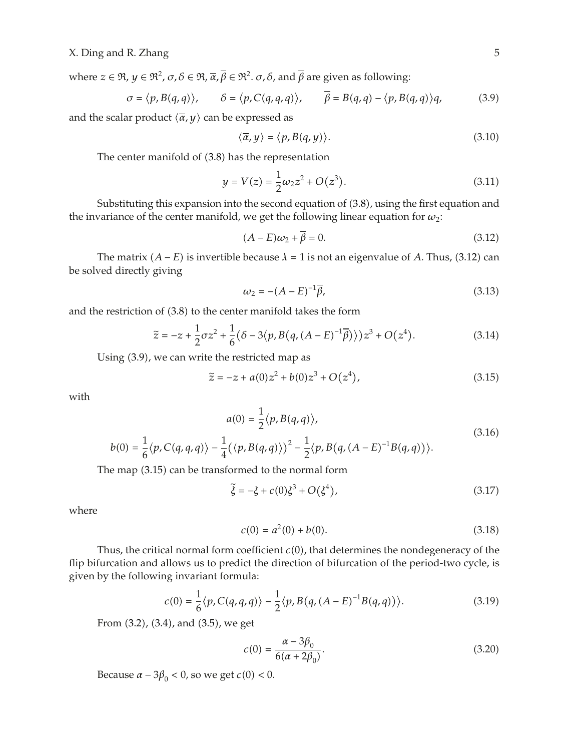where  $z \in \mathfrak{R}$ ,  $y \in \mathfrak{R}^2$ ,  $\sigma$ ,  $\delta \in \mathfrak{R}$ ,  $\overline{\alpha}$ ,  $\overline{\beta} \in \mathfrak{R}^2$ .  $\sigma$ ,  $\delta$ , and  $\overline{\beta}$  are given as following:

$$
\sigma = \langle p, B(q, q) \rangle, \qquad \delta = \langle p, C(q, q, q) \rangle, \qquad \overline{\beta} = B(q, q) - \langle p, B(q, q) \rangle q,\tag{3.9}
$$

and the scalar product  $\langle \overline{\alpha}, y \rangle$  can be expressed as

$$
\langle \overline{\alpha}, y \rangle = \langle p, B(q, y) \rangle. \tag{3.10}
$$

The center manifold of  $(3.8)$  has the representation

$$
y = V(z) = \frac{1}{2}\omega_2 z^2 + O(z^3).
$$
 (3.11)

Substituting this expansion into the second equation of  $(3.8)$ , using the first equation and the invariance of the center manifold, we get the following linear equation for  $\omega_2$ :

$$
(A - E)\omega_2 + \overline{\beta} = 0. \tag{3.12}
$$

The matrix  $(A - E)$  is invertible because  $\lambda = 1$  is not an eigenvalue of *A*. Thus, (3.12) can be solved directly giving

$$
\omega_2 = -(A - E)^{-1} \bar{\beta}, \tag{3.13}
$$

and the restriction of  $(3.8)$  to the center manifold takes the form

$$
\tilde{z} = -z + \frac{1}{2}\sigma z^2 + \frac{1}{6}(\delta - 3\langle p, B(q, (A - E)^{-1}\overline{\beta})\rangle)z^3 + O(z^4).
$$
 (3.14)

Using  $(3.9)$ , we can write the restricted map as

$$
\tilde{z} = -z + a(0)z^2 + b(0)z^3 + O(z^4),\tag{3.15}
$$

with

$$
a(0) = \frac{1}{2} \langle p, B(q, q) \rangle,
$$
  

$$
\langle p, C(q, q, q) \rangle - \frac{1}{4} (\langle p, B(q, q) \rangle)^2 - \frac{1}{2} \langle p, B(q, (A - E)^{-1} B(q, q)) \rangle.
$$
 (3.16)

The map  $(3.15)$  can be transformed to the normal form

$$
\tilde{\xi} = -\xi + c(0)\xi^3 + O(\xi^4),\tag{3.17}
$$

where

 $b(0) = \frac{1}{6}$ 

$$
c(0) = a^2(0) + b(0). \tag{3.18}
$$

Thus, the critical normal form coefficient  $c(0)$ , that determines the nondegeneracy of the flip bifurcation and allows us to predict the direction of bifurcation of the period-two cycle, is given by the following invariant formula:

$$
c(0) = \frac{1}{6} \langle p, C(q, q, q) \rangle - \frac{1}{2} \langle p, B(q, (A - E)^{-1}B(q, q)) \rangle.
$$
 (3.19)

From  $(3.2)$ ,  $(3.4)$ , and  $(3.5)$ , we get

$$
c(0) = \frac{\alpha - 3\beta_0}{6(\alpha + 2\beta_0)}.
$$
\n(3.20)

Because  $\alpha - 3\beta_0 < 0$ , so we get *c*(0) < 0.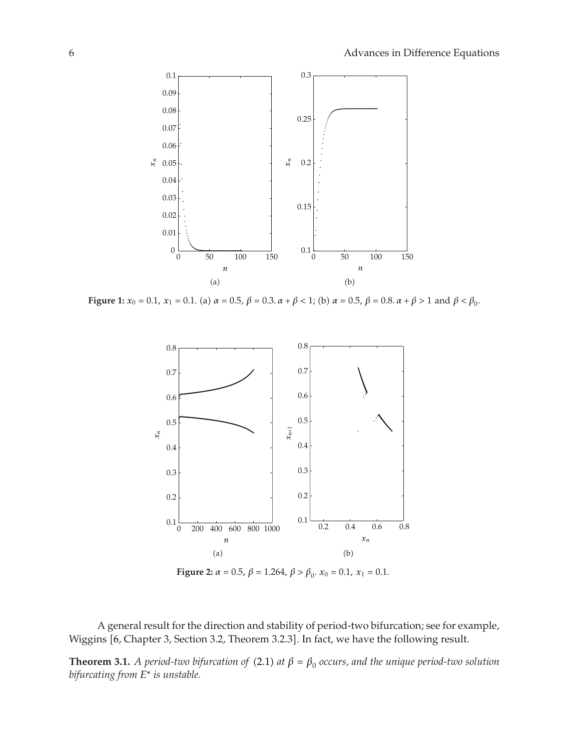

**Figure 1:**  $x_0 = 0.1$ ,  $x_1 = 0.1$ . (a)  $\alpha = 0.5$ ,  $\beta = 0.3$ .  $\alpha + \beta < 1$ ; (b)  $\alpha = 0.5$ ,  $\beta = 0.8$ .  $\alpha + \beta > 1$  and  $\beta < \beta_0$ .



**Figure 2:**  $\alpha = 0.5$ ,  $\beta = 1.264$ ,  $\beta > \beta_0$ .  $x_0 = 0.1$ ,  $x_1 = 0.1$ .

A general result for the direction and stability of period-two bifurcation; see for example, Wiggins [6, Chapter 3, Section 3.2, Theorem 3.2.3]. In fact, we have the following result.

**Theorem 3.1.** *A period-two bifurcation of* (2.1) *at*  $\beta = \beta_0$  *occurs, and the unique period-two solution bifurcating from E*<sup>∗</sup> *is unstable.*